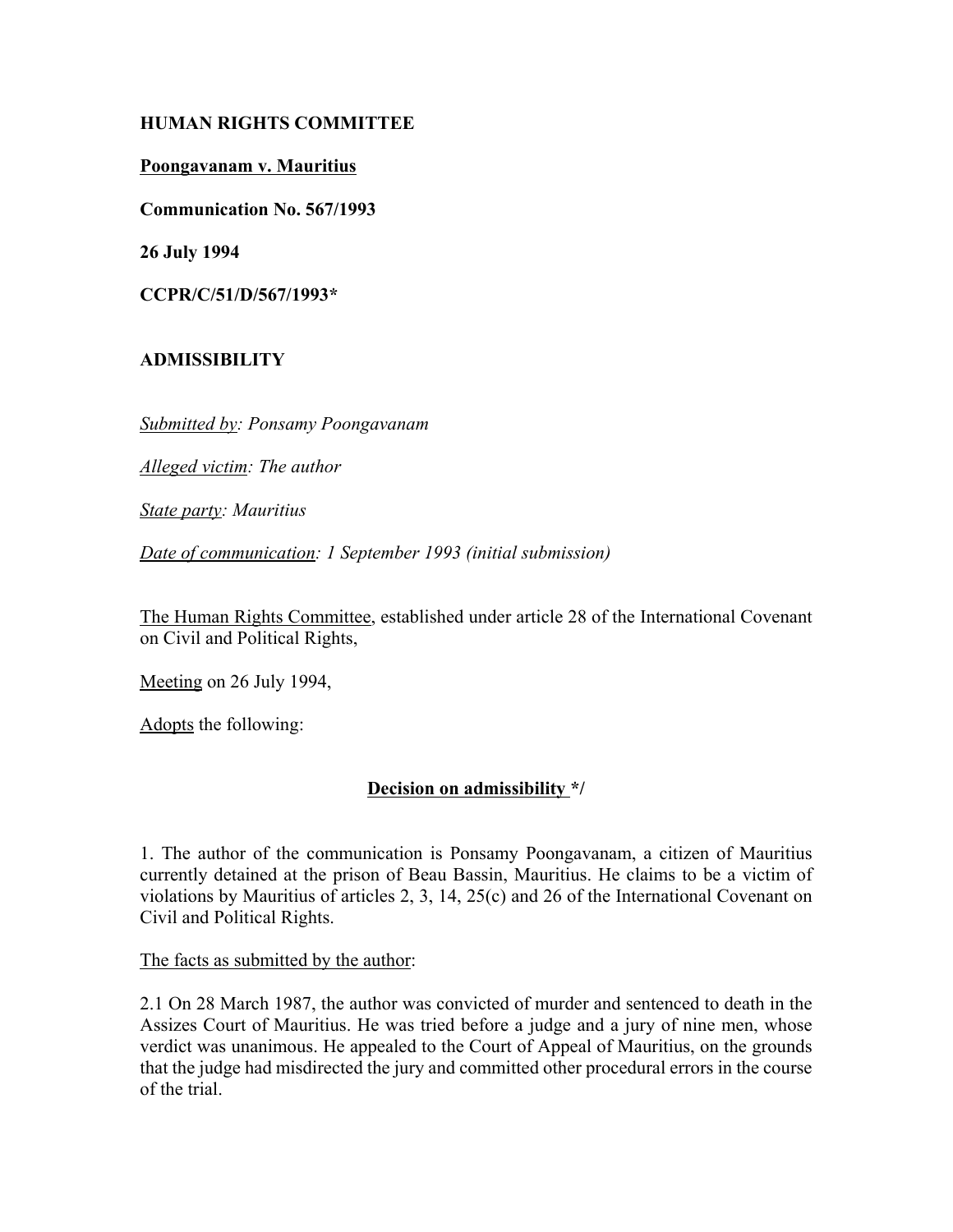# **HUMAN RIGHTS COMMITTEE**

### **Poongavanam v. Mauritius**

**Communication No. 567/1993**

**26 July 1994**

**CCPR/C/51/D/567/1993\***

# **ADMISSIBILITY**

*Submitted by: Ponsamy Poongavanam*

*Alleged victim: The author*

*State party: Mauritius*

*Date of communication: 1 September 1993 (initial submission)*

The Human Rights Committee, established under article 28 of the International Covenant on Civil and Political Rights,

Meeting on 26 July 1994,

Adopts the following:

# **Decision on admissibility \*/**

1. The author of the communication is Ponsamy Poongavanam, a citizen of Mauritius currently detained at the prison of Beau Bassin, Mauritius. He claims to be a victim of violations by Mauritius of articles 2, 3, 14, 25(c) and 26 of the International Covenant on Civil and Political Rights.

The facts as submitted by the author:

2.1 On 28 March 1987, the author was convicted of murder and sentenced to death in the Assizes Court of Mauritius. He was tried before a judge and a jury of nine men, whose verdict was unanimous. He appealed to the Court of Appeal of Mauritius, on the grounds that the judge had misdirected the jury and committed other procedural errors in the course of the trial.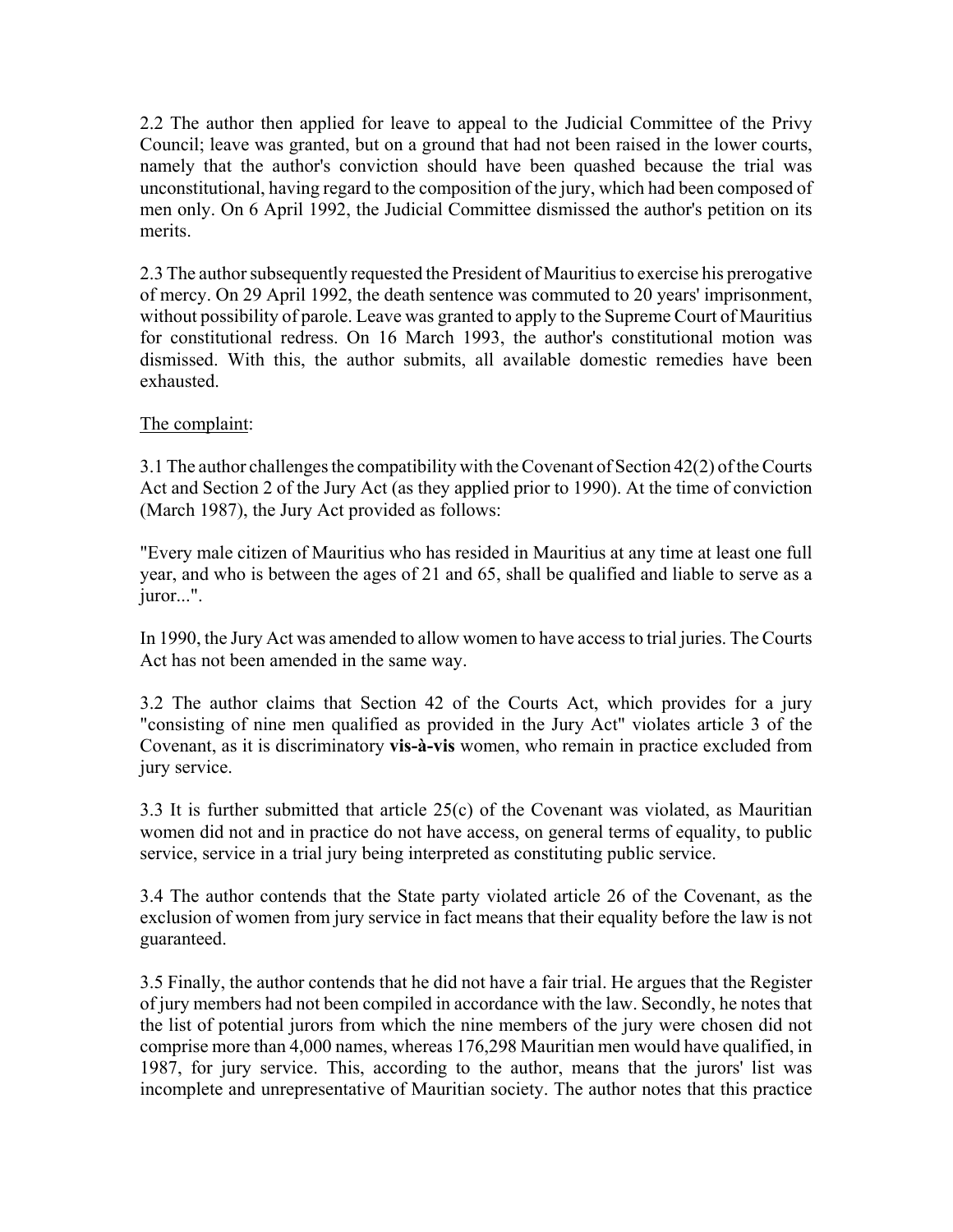2.2 The author then applied for leave to appeal to the Judicial Committee of the Privy Council; leave was granted, but on a ground that had not been raised in the lower courts, namely that the author's conviction should have been quashed because the trial was unconstitutional, having regard to the composition of the jury, which had been composed of men only. On 6 April 1992, the Judicial Committee dismissed the author's petition on its merits.

2.3 The author subsequently requested the President of Mauritius to exercise his prerogative of mercy. On 29 April 1992, the death sentence was commuted to 20 years' imprisonment, without possibility of parole. Leave was granted to apply to the Supreme Court of Mauritius for constitutional redress. On 16 March 1993, the author's constitutional motion was dismissed. With this, the author submits, all available domestic remedies have been exhausted.

### The complaint:

3.1 The author challenges the compatibility with the Covenant of Section 42(2) of the Courts Act and Section 2 of the Jury Act (as they applied prior to 1990). At the time of conviction (March 1987), the Jury Act provided as follows:

"Every male citizen of Mauritius who has resided in Mauritius at any time at least one full year, and who is between the ages of 21 and 65, shall be qualified and liable to serve as a juror...".

In 1990, the Jury Act was amended to allow women to have access to trial juries. The Courts Act has not been amended in the same way.

3.2 The author claims that Section 42 of the Courts Act, which provides for a jury "consisting of nine men qualified as provided in the Jury Act" violates article 3 of the Covenant, as it is discriminatory **vis-‡-vis** women, who remain in practice excluded from jury service.

3.3 It is further submitted that article 25(c) of the Covenant was violated, as Mauritian women did not and in practice do not have access, on general terms of equality, to public service, service in a trial jury being interpreted as constituting public service.

3.4 The author contends that the State party violated article 26 of the Covenant, as the exclusion of women from jury service in fact means that their equality before the law is not guaranteed.

3.5 Finally, the author contends that he did not have a fair trial. He argues that the Register of jury members had not been compiled in accordance with the law. Secondly, he notes that the list of potential jurors from which the nine members of the jury were chosen did not comprise more than 4,000 names, whereas 176,298 Mauritian men would have qualified, in 1987, for jury service. This, according to the author, means that the jurors' list was incomplete and unrepresentative of Mauritian society. The author notes that this practice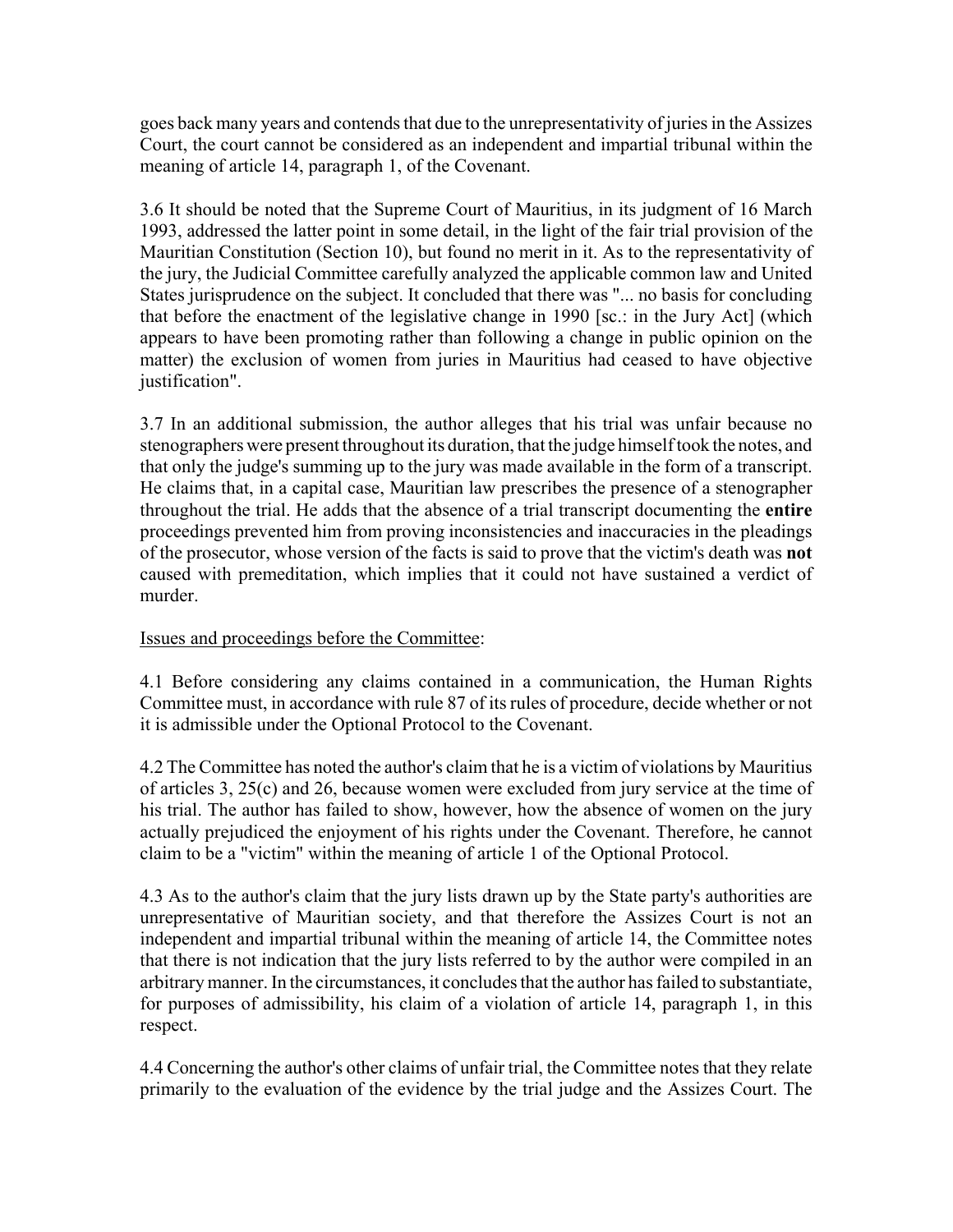goes back many years and contends that due to the unrepresentativity of juries in the Assizes Court, the court cannot be considered as an independent and impartial tribunal within the meaning of article 14, paragraph 1, of the Covenant.

3.6 It should be noted that the Supreme Court of Mauritius, in its judgment of 16 March 1993, addressed the latter point in some detail, in the light of the fair trial provision of the Mauritian Constitution (Section 10), but found no merit in it. As to the representativity of the jury, the Judicial Committee carefully analyzed the applicable common law and United States jurisprudence on the subject. It concluded that there was "... no basis for concluding that before the enactment of the legislative change in 1990 [sc.: in the Jury Act] (which appears to have been promoting rather than following a change in public opinion on the matter) the exclusion of women from juries in Mauritius had ceased to have objective justification".

3.7 In an additional submission, the author alleges that his trial was unfair because no stenographers were present throughout its duration, that the judge himself took the notes, and that only the judge's summing up to the jury was made available in the form of a transcript. He claims that, in a capital case, Mauritian law prescribes the presence of a stenographer throughout the trial. He adds that the absence of a trial transcript documenting the **entire** proceedings prevented him from proving inconsistencies and inaccuracies in the pleadings of the prosecutor, whose version of the facts is said to prove that the victim's death was **not** caused with premeditation, which implies that it could not have sustained a verdict of murder.

# Issues and proceedings before the Committee:

4.1 Before considering any claims contained in a communication, the Human Rights Committee must, in accordance with rule 87 of its rules of procedure, decide whether or not it is admissible under the Optional Protocol to the Covenant.

4.2 The Committee has noted the author's claim that he is a victim of violations by Mauritius of articles 3, 25(c) and 26, because women were excluded from jury service at the time of his trial. The author has failed to show, however, how the absence of women on the jury actually prejudiced the enjoyment of his rights under the Covenant. Therefore, he cannot claim to be a "victim" within the meaning of article 1 of the Optional Protocol.

4.3 As to the author's claim that the jury lists drawn up by the State party's authorities are unrepresentative of Mauritian society, and that therefore the Assizes Court is not an independent and impartial tribunal within the meaning of article 14, the Committee notes that there is not indication that the jury lists referred to by the author were compiled in an arbitrary manner. In the circumstances, it concludes that the author has failed to substantiate, for purposes of admissibility, his claim of a violation of article 14, paragraph 1, in this respect.

4.4 Concerning the author's other claims of unfair trial, the Committee notes that they relate primarily to the evaluation of the evidence by the trial judge and the Assizes Court. The